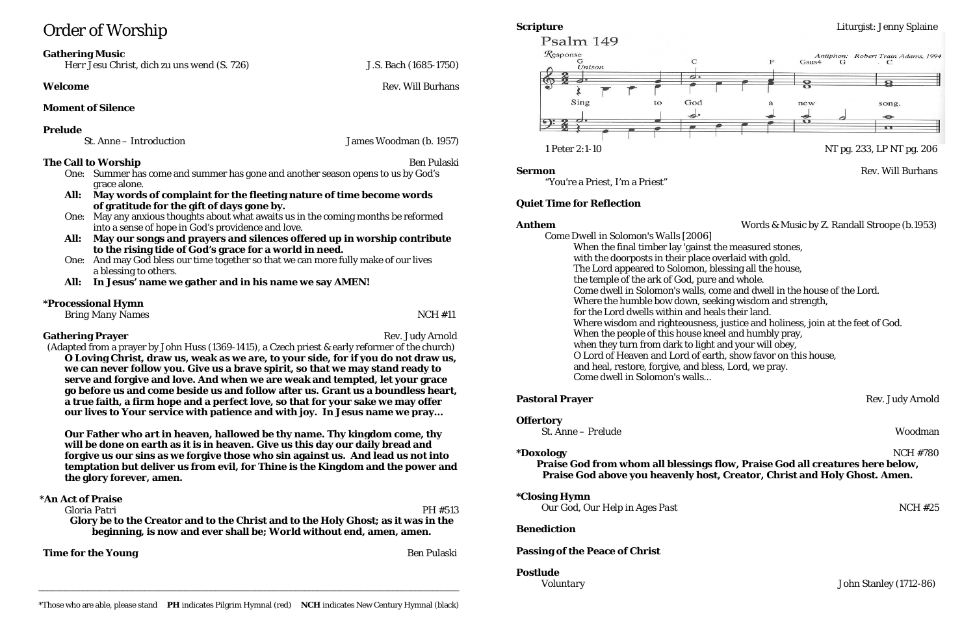# Order of Worship

# **Gathering Music**

*Herr Jesu Christ, dich zu uns wend (S. 726)* J.S. Bach (1685-1750)

# **Welcome** Rev. Will Burhans

# **Moment of Silence**

# **Prelude**

| <i>St. Anne – Introduction</i> |  |
|--------------------------------|--|
|--------------------------------|--|

# **The Call to Worship Benefits Benefits Benefits Benefits Benefits Benefits Benefits Benefits Benefits Benefits Benefits Benefits Benefits Benefits Benefits Benefits Benefits Benefits B**

*St. Anne – Introduction* James Woodman (b. 1957)

- One: Summer has come and summer has gone and another season opens to us by God's grace alone.
- **All: May words of complaint for the fleeting nature of time become words of gratitude for the gift of days gone by.**
- One: May any anxious thoughts about what awaits us in the coming months be reformed into a sense of hope in God's providence and love.
- **All: May our songs and prayers and silences offered up in worship contribute to the rising tide of God's grace for a world in need.**
- One: And may God bless our time together so that we can more fully make of our lives a blessing to others.
- **All: In Jesus' name we gather and in his name we say AMEN!**

# **\*Processional Hymn**

*Bring Many Names* NCH #11

# **Gathering Prayer** Rev. Judy Arnold **Rev.** 3. The state of the state of the state of the state of the state of the state of the state of the state of the state of the state of the state of the state of the state of the sta

(Adapted from a prayer by John Huss (1369-1415), a Czech priest & early reformer of the church) **O Loving Christ, draw us, weak as we are, to your side, for if you do not draw us, we can never follow you. Give us a brave spirit, so that we may stand ready to serve and forgive and love. And when we are weak and tempted, let your grace go before us and come beside us and follow after us. Grant us a boundless heart, a true faith, a firm hope and a perfect love, so that for your sake we may offer our lives to Your service with patience and with joy. In Jesus name we pray…**

**Our Father who art in heaven, hallowed be thy name. Thy kingdom come, thy will be done on earth as it is in heaven. Give us this day our daily bread and forgive us our sins as we forgive those who sin against us. And lead us not into temptation but deliver us from evil, for Thine is the Kingdom and the power and the glory forever, amen.**

# **\*An Act of Praise**

*Gloria Patri* PH #513 **Glory be to the Creator and to the Christ and to the Holy Ghost; as it was in the beginning, is now and ever shall be; World without end, amen, amen.**

**Time for the Young** Ben Pulaski



"You're a Priest, I'm a Priest"

# **Quiet Time for Reflection**

*Come Dwell in Solomon's Walls* [2006] When the final timber lay 'gainst the measured stones, with the doorposts in their place overlaid with gold. The Lord appeared to Solomon, blessing all the house, the temple of the ark of God, pure and whole. Come dwell in Solomon's walls, come and dwell in the house of the Lord. Where the humble bow down, seeking wisdom and strength, for the Lord dwells within and heals their land. Where wisdom and righteousness, justice and holiness, join at the feet of God. When the people of this house kneel and humbly pray, when they turn from dark to light and your will obey, O Lord of Heaven and Lord of earth, show favor on this house, and heal, restore, forgive, and bless, Lord, we pray. Come dwell in Solomon's walls...

### **Pastoral Prayer** Rev. Judy Arnold

**Offertory**

*St. Anne – Prelude* Woodman

# **\*Doxology** NCH #780 **Praise God from whom all blessings flow, Praise God all creatures here below,**

**Praise God above you heavenly host, Creator, Christ and Holy Ghost. Amen.**

**\*Closing Hymn**

*Our God, Our Help in Ages Past* **NCH #25** 

# **Benediction**

# **Passing of the Peace of Christ**

# **Postlude**

*Voluntary* John Stanley (1712-86) \_\_\_\_\_\_\_\_\_\_\_\_\_\_\_\_\_\_\_\_\_\_\_\_\_\_\_\_\_\_\_\_\_\_\_\_\_\_\_\_\_\_\_\_\_\_\_\_\_\_\_\_\_\_\_\_\_\_\_\_\_\_\_\_\_\_\_\_\_\_\_\_\_\_\_\_\_\_\_\_\_\_\_\_\_\_\_\_\_\_\_\_\_\_\_

# **Scripture** Liturgist: Jenny Splaine

**Sermon** Rev. Will Burhans

**Anthem** Words & Music by Z. Randall Stroope (b.1953)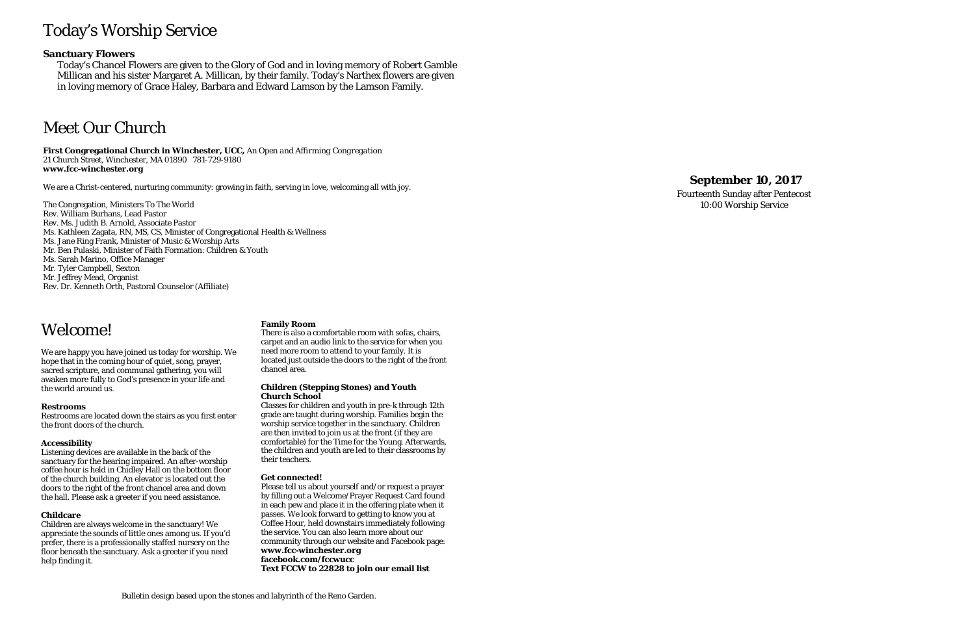# Today's Worship Service

### **Sanctuary Flowers**

Today's Chancel Flowers are given to the Glory of God and in loving memory of Robert Gamble Millican and his sister Margaret A. Millican, by their family. Today's Narthex flowers are given in loving memory of Grace Haley, Barbara and Edward Lamson by the Lamson Family.

# Meet Our Church

**First Congregational Church in Winchester, UCC,** *An Open and Affirming Congregation* 21 Church Street, Winchester, MA 01890 781 -729 -9180 **www.fcc -winchester.org**

We are a Christ -centered, nurturing community: growing in faith, serving in love, welcoming all with joy.

The Congregation, Ministers To The World Rev. William Burhans, Lead Pastor Rev. Ms. Judith B. Arnold, Associate Pastor Ms. Kathleen Zagata, RN, MS, CS, Minister of Congregational Health & Wellness Ms. Jane Ring Frank, Minister of Music & Worship Arts Mr. Ben Pulaski, Minister of Faith Formation: Children & Youth Ms. Sarah Marino, Office Manager Mr. Tyler Campbell, Sexton Mr. Jeffrey Mead, Organist Rev. Dr. Kenneth Orth, Pastoral Counselor (Affiliate)

# **September 1 0 , 2017**

Fourteenth Sunday after Pentecost 10:00 Worship Service

# Welcome!

We are happy you have joined us today for worship. We hope that in the coming hour of quiet, song, prayer, sacred scripture, and communal gathering, you will awaken more fully to God's presence in your life and the world around us.

### **Restrooms**

Restrooms are located down the stairs as you first enter the front doors of the church.

### **Accessibility**

Listening devices are available in the back of the sanctuary for the hearing impaired. An after -worship coffee hour is held in Chidley Hall on the bottom floor of the church building. An elevator is located out the doors to the right of the front chancel area and down the hall. Please ask a greeter if you need assistance.

### **Childcare**

Children are always welcome in the sanctuary! We appreciate the sounds of little ones among us. If you'd prefer, there is a professionally staffed nursery on the floor beneath the sanctuary. Ask a greeter if you need help finding it.

### **Family Room**

There is also a comfortable room with sofas, chairs, carpet and an audio link to the service for when you need more room to attend to your family. It is located just outside the doors to the right of the front chancel area.

#### **Children (Stepping Stones) and Youth Church School**

Classes for children and youth in pre -k through 12th grade are taught during worship. Families begin the worship service together in the sanctuary. Children are then invited to join us at the front (if they are comfortable) for the Time for the Young. Afterwards, the children and youth are led to their classrooms by their teachers.

### **Get connected!**

Please tell us about yourself and/or request a prayer by filling out a Welcome/Prayer Request Card found in each pew and place it in the offering plate when it passes. We look forward to getting to know you at Coffee Hour, held downstairs immediately following the service. You can also learn more about our community through our website and Facebook page: **www.fcc -winchester.org facebook.com/fccwucc Text FCCW to 22828 to join our email list**